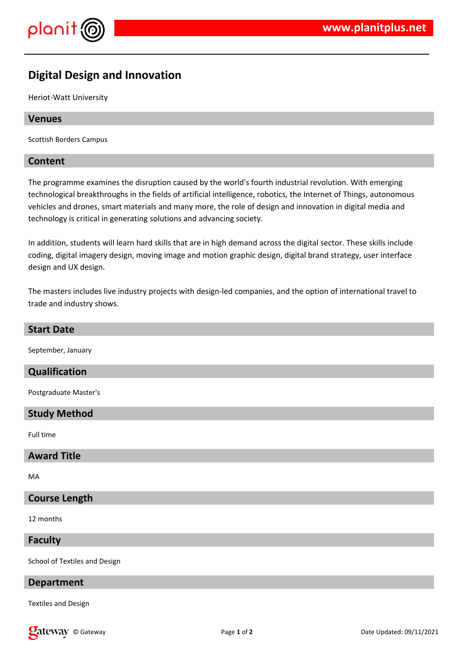

# **Digital Design and Innovation**

Heriot-Watt University

## **Venues**

Scottish Borders Campus

## **Content**

The programme examines the disruption caused by the world's fourth industrial revolution. With emerging technological breakthroughs in the fields of artificial intelligence, robotics, the Internet of Things, autonomous vehicles and drones, smart materials and many more, the role of design and innovation in digital media and technology is critical in generating solutions and advancing society.

In addition, students will learn hard skills that are in high demand across the digital sector. These skills include coding, digital imagery design, moving image and motion graphic design, digital brand strategy, user interface design and UX design.

The masters includes live industry projects with design-led companies, and the option of international travel to trade and industry shows.

#### **Start Date**

September, January

### **Qualification**

Postgraduate Master's

#### **Study Method**

Full time

#### **Award Title**

MA

### **Course Length**

12 months

### **Faculty**

School of Textiles and Design

#### **Department**

Textiles and Design